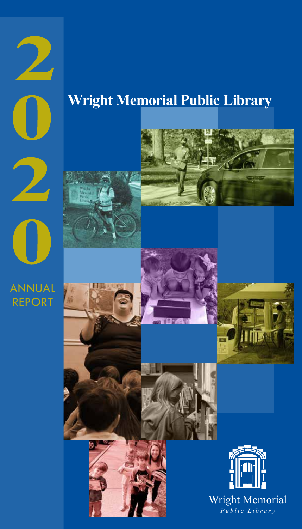# **Wright Memorial Public Library**



 $\mathbf 2$ 

ANNUAL REPORT

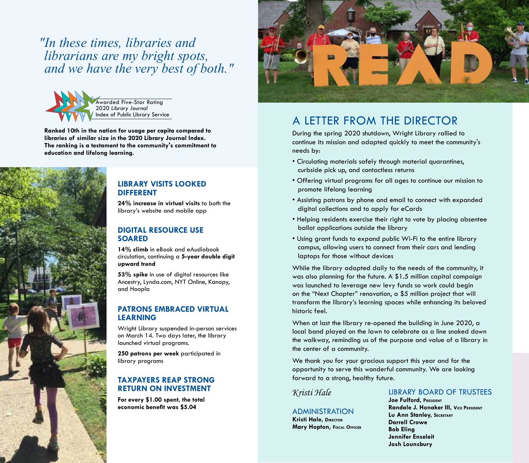*"In these times, libraries and librarians are my bright spots, and we have the very best of both."*



**Ranked 10th in the nation for usage per capita compared to libraries of similar size in the 2020 Library Journal Index. The ranking is a testament to the community's commitment to education and lifelong learning.**



### **LIBRARY VISITS LOOKED DIFFERENT**

**24% increase in virtual visits** to both the library's website and mobile app

### **DIGITAL RESOURCE USE SOARED**

**14% climb** in eBook and eAudiobook circulation, continuing a **5-year double digit upward trend**

**53% spike** in use of digital resources like Ancestry, Lynda.com, NYT Online, Kanopy, and Hoopla

## **PATRONS EMBRACED VIRTUAL LEARNING**

Wright Library suspended in-person services on March 14. Two days later, the library launched virtual programs.

**250 patrons per week** participated in library programs

## **TAXPAYERS REAP STRONG RETURN ON INVESTMENT**

**For every \$1.00 spent, the total economic benefit was \$5.04** ADMINISTRATION



# A LETTER FROM THE DIRECTOR

During the spring 2020 shutdown, Wright Library rallied to continue its mission and adapted quickly to meet the community's needs by:

- Circulating materials safely through material quarantines, curbside pick up, and contactless returns
- Offering virtual programs for all ages to continue our mission to promote lifelong learning
- Assisting patrons by phone and email to connect with expanded digital collections and to apply for eCards
- Helping residents exercise their right to vote by placing absentee ballot applications outside the library
- Using grant funds to expand public Wi-Fi to the entire library campus, allowing users to connect from their cars and lending laptops for those without devices

While the library adapted daily to the needs of the community, it was also planning for the future. A \$1.5 million capital campaign was launched to leverage new levy funds so work could begin on the "Next Chapter" renovation, a \$5 million project that will transform the library's learning spaces while enhancing its beloved historic feel.

When at last the library re-opened the building in June 2020, a local band played on the lawn to celebrate as a line snaked down the walkway, reminding us of the purpose and value of a library in the center of a community.

We thank you for your gracious support this year and for the opportunity to serve this wonderful community. We are looking forward to a strong, healthy future.

# *Kristi Hale*

**Kristi Hale, Director Mary Hopton, Fiscal Officer**

# LIBRARY BOARD OF TRUSTEES

**Joe Fulford, PRESIDENT Randale J. Honaker III, VICE PRESIDENT Lu Ann Stanley, Secretary Darrell Crowe Bob Eling Jennifer Enseleit Josh Lounsbury**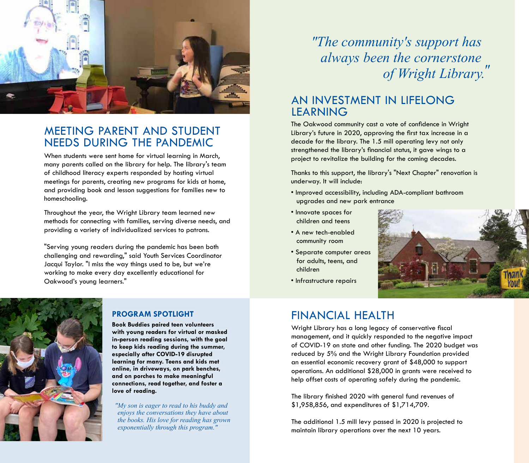

# MEETING PARENT AND STUDENT NEEDS DURING THE PANDEMIC

When students were sent home for virtual learning in March, many parents called on the library for help. The library's team of childhood literacy experts responded by hosting virtual meetings for parents, creating new programs for kids at home, and providing book and lesson suggestions for families new to homeschooling.

Throughout the year, the Wright Library team learned new methods for connecting with families, serving diverse needs, and providing a variety of individualized services to patrons.

"Serving young readers during the pandemic has been both challenging and rewarding," said Youth Services Coordinator Jacqui Taylor. "I miss the way things used to be, but we're working to make every day excellently educational for Oakwood's young learners."



# **PROGRAM SPOTLIGHT**

**Book Buddies paired teen volunteers with young readers for virtual or masked in-person reading sessions, with the goal to keep kids reading during the summer, especially after COVID-19 disrupted learning for many. Teens and kids met online, in driveways, on park benches, and on porches to make meaningful connections, read together, and foster a love of reading.** 

*"My son is eager to read to his buddy and enjoys the conversations they have about the books. His love for reading has grown exponentially through this program."* 

*"The community's support has always been the cornerstone of Wright Library."*

# AN INVESTMENT IN LIFELONG LEARNING

The Oakwood community cast a vote of confidence in Wright Library's future in 2020, approving the first tax increase in a decade for the library. The 1.5 mill operating levy not only strengthened the library's financial status, it gave wings to a project to revitalize the building for the coming decades.

Thanks to this support, the library's "Next Chapter" renovation is underway. It will include:

- Improved accessibility, including ADA-compliant bathroom upgrades and new park entrance
- Innovate spaces for children and teens
- A new tech-enabled community room
- Separate computer areas for adults, teens, and children
- Infrastructure repairs



# FINANCIAL HEALTH

Wright Library has a long legacy of conservative fiscal management, and it quickly responded to the negative impact of COVID-19 on state and other funding. The 2020 budget was reduced by 5% and the Wright Library Foundation provided an essential economic recovery grant of \$48,000 to support operations. An additional \$28,000 in grants were received to help offset costs of operating safely during the pandemic.

The library finished 2020 with general fund revenues of \$1,958,856, and expenditures of \$1,714,709.

The additional 1.5 mill levy passed in 2020 is projected to maintain library operations over the next 10 years.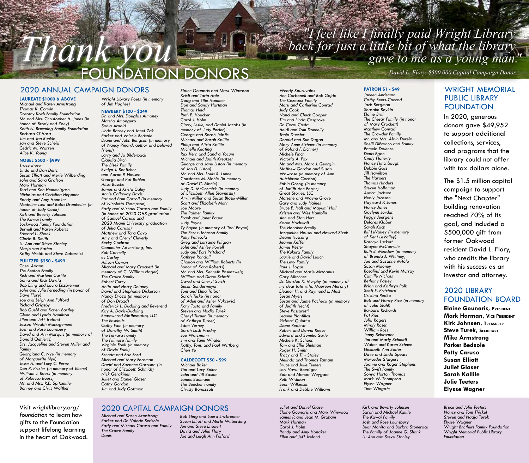# *"I feel like I finally paid Wright Library back for just a little bit of what the library gave to me as a young man. "*

# *David L. Flory, \$500,000 Capital Campaign Donor* FOUNDATION DONORS

### 2020 ANNUAL CAMPAIGN DONORS

*Thank you*

#### **LAUREATE \$1000 & ABOVE**

*Michael and Karen Armstrong Thomas K. Corwin Dorothy Koch Family Foundation Mr. and Mrs. Christopher H. Jones (in honor of Brody and Zoey) Keith N. Browning Family Foundation Barbara O'Hara Jim and Jan Runkle Jan and Steve Scheid Cedric M. Warren Alice K. Young*

#### **NOBEL \$500 - \$999**

*Tracy Bieser Linda and Dan Deitz Susan Elliott and Merle Wilberding John and Sara Grafton Mark Harman Terri and Ken Hemmelgarn Nicholas and Christina Heppner Randy and Amy Honaker Madeline Iseli and Robb Drumheller (in honor of Judy Cook) Kirk and Beverly Johnsen The Kawai Family Lockwood Family Foundation Burnell and Karen Roberts Edward L. Shank Gloria R. Smith Lu Ann and Steve Stanley Marjo van Patten Kathy Webb and Steve Zabarnick*

#### **PULITZER \$250 - \$499** *Cheri Adams*

*The Benton Family Rick and Marlene Carlile Sonia and Rick Davila Bob Eling and Laura Enzbrenner John and Julie Ferneding (in honor of Dave Flory) Joe and Leigh Ann Fulford Richard Grigsby Bob Guehl and Karen Bartley Glenn and Lynda Hamilton Ellen and Jeff Ireland Jessup Wealth Management Josh and Rose Lounsbury David and Ann Marquis (in memory of Donald Oehlerts) Drs. Jacqueline and Steven Miller and Family Georgiana C. Nye (in memory of Marguerite Nye) Jesse A. and Lucy C. Perez Don R. Prizler (in memory of Ellene) William J. Roess (in memory of Rebecca Roess) Mr. and Mrs. R.E. Spitzmiller Bonney and Chris Walther*

Visit *wrightlibrary.org/ foundation* to learn how gifts to the Foundation support lifelong learning in the heart of Oakwood.

*Wright Library Poets (in memory of Jim Hughes)*

#### **NEWBERY \$100 - \$249**

*Dr. and Mrs. Douglas Almoney Martha Amongero Sonia Arnold Linda Barney and Janet Zak Parker and Valerie Bedsole Diane and John Bengson (in memory of Nancy Pinard, author and beloved friend) Larry and Jo Bilderback Claudia Birch The Bisek Family Evelyn J. Boettcher and Aaron P. Nielsen George and Pat Bohlen Alisa Busche James and Krista Caley Annie Callaway Davis Pat and Pam Carroll (in memory of Nicoletta Thompson) Patty and Michael Caruso and Family (in honor of 2020 OHS graduation of Samuel Caruso and 2020 Miami University graduation of Julia Caruso) Matthew and Tara Cavo Amy and Cheryl Cleverly Becky Cochran Commuter Advertising, Inc. Rob Connelly ec Corley Allison Cowan Michael and Mary Crockett (in memory of C. William Hager) The Crowe Family Robert Curry Anita and Harry Delaney David and Stephanie Dickerson Nancy Drozd (in memory of Don Drozd) Frederick L. Dudding and Reverend Kay A. Davis-Dudding Empowered Mathematics, LLC The Enseleits Cathy Fain (in memory of Dorothy W. Smith) The Ferrara Family The Fillmore family Virginia Foell (in memory of David Foell) Brenda and Eric Ford Michael and Mary Foreman David and Suzanne Garrison (in honor of Elizabeth Schmidt) Nick Gerakines Juliet and Daniel Glaser Cathy Gordon Jim and Judy Gottman*

*Elaine Gounaris and Mark Winwood Kristi and Tarin Hale Doug and Ellie Hammer Don and Sandy Hartman Thomas Held Ruth E. Hoecker Carol J. Holm Cindy, Leslie, and Daniel Jacobs (in memory of Judy Porter) George and Sarah Jelatis Michael and Sarah Kallile Philip and Alicia Kallile Michelle Keating Rex Kern and Sandra Yocum Michael and Judith Kreutzer George and Jane Liston (in memory of Jon D. Liston) Mr. and Mrs. Louis R. Lunne Constance M. Mahle (in memory of David C. Mahle) Judy D. McCormick (in memory of Elizabeth Allen Stavnitski) Arvin Miller and Susan Blasik-Miller Scott and Elizabeth Mohr Joe Moore The Palmer Family Frank and Janet Pauer Judy Payne Ty Payne (in memory of Toni Payne) The Perez-Johnson Family Polly Petricola Greg and Lorraine Piligian John and Ashley Powell Judy and Earl Pritchard Kathryn Randall Challon and William Roberts (in honor of Kara Roberts) Mr. and Mrs. Kenneth Rosenzweig William and Diane Schaff David and Cheryl Suich Susan Sundermeyer Tom and Elma Talbot Sarah Teske (in honor of Aden and Asher Vukcevic) Kary Tosto and Family Steven and Nadja Turek Cheryl Turner (in memory of Kathryn Turner) Edith Verney Sarah Losh Vrudny Joe Waizmann Jim and Tami Whalen Kathy, Tom, and Paul Wittberg Chen Ye*

#### **CALDECOTT \$50 - \$99**

*Michael Baker Tim and Lucy Baker John and Jill Basom James Baumann The Beecher Family Christy Bonazzoli*

*Wendy Boucuvalas Ann Carbonell and Bob Gajda The Cezeaux Family Mark and Catherine Conrad Judy Cook Nanci and Chuck Cooper Tim and Linda Cosgrove Dr. Carol Costa Heidi and Tom Donnelly Tanja Duester Donald and Sue Dugan Mary Anne Eichner (in memory of Roland F. Eichner) Michele Finch Victoria A. Fox Mr. and Mrs. Marc J. Georgin Matthew Gordon and Susan Wawrose (in memory of Ann Hutchinson Gordon) Robin Gorog (in memory of Judith Ann Porter) Great Stories, LLC Marlene and Wayne Grove Gary and Judy Haines Bruce E. Hall and Mayumi Hall Kristen and Wes Hamblin Ann and Stan Herr Karen Hochwalt The Honaker Family Jacqueline Housel and Howard Sizek Deane Hussong Jeanne Keffer James Kester The Kukura Family Laurie and David Leach The Levy Family Paul J. Logus Michael and Marie McManus Gary Mitchner Dr. Gordon K. Murphy (in memory of my dear late wife, Maureen Murphy) Eleanor H. and Raymond L. Must Susan Myers Susan and Jaime Pacheco (in memory of Judith Hecht) Steve Passaretti Leanne Plantillas Richard Quinttus Diane Redleaf Robert and Donna Reece Edward and Sumiko Sarle Michele K. Schoen Tom and Ellie Shulman Roger H. Smith Tracy and Tim Staley Melinda and Thomas Tatham Bruce and Julie Teeters Lori Vavul-Roediger Bob and Marcia Weygant Ruth Widman Sean Wilkinson Frank and Debbie Williams*

#### **PATRON \$1 - \$49** *Janeen Anderson*

*Cathy Beers-Conrad Jack Bergman Sharahn Boykin Elaine Brill The Chesar Family (in honor of Mary Crockett) Matthew Conrad The Crowder Family Mr. and Mrs. Alain Dereix Shelli DiFranco and Family Pamela Dolence Denis Egan Cindy Flaherty Nancy Flinchbaugh Debbie Goss Jill Hamilton The Harpers Thomas Hinders Steven Holloman Audra Jackson Healy Jackson Hayward P. Jones Nancy Jones Gaylynn Jordan Peggy Juergens Delores Klaber Sarah Koch Bill LeValley (in memory of Kent LeValley) Kathryn Luckett Shayna McConville Ruth B. Meadow (in memory of Brenda J. Whitney) Joe and Suzanne Mitolo Susan Mooney Rosalind and Kevin Murray Camille Nichols Bethany Pasley Brian and Kathryn Polk Scott E. Pritchard Cristina Redko Bob and Nancy Rice (in memory of John Stahl) Barbara Richards Pat Ries Julia Rogers Mindy Rosen William Ross Jenny Schiavone Jim and Marty Schmidt Walter and Karen Schnee Elisabeth Ann Soifer Dave and Linda Spears Mercedes Staigers Joanne and Roger Stephens The Swift Family Sonya Horton Thomas Mark W. Thompson Elysse Wagner Tina Wingate*

*Kirk and Beverly Johnsen Sarah and Michael Kallile The Kawai Family Josh and Rose Lounsbury The Family of Joanne G. Shank Lu Ann and Steve Stanley*

### WRIGHT MEMORIAL PUBLIC LIBRARY FOUNDATION

In 2020, generous donors gave \$49,952 to support additional collections, services, and programs that the library could not offer with tax dollars alone.

The \$1.5 million capital campaign to support the "Next Chapter" building renovation reached 70% of its goal, and included a \$500,000 gift from former Oakwood resident David L. Flory, who credits the library with his success as an investor and attorney.

### 2020 LIBRARY FOUNDATION BOARD

**Elaine Gounaris, PRESIDENT Mark Harman, VICE PRESIDENT Kirk Johnsen, Treasurer Steve Turek, Secretary Mike Armstrong Parker Bedsole Patty Caruso Susan Elliott Juliet Glaser Sarah Kallile Julie Teeters Elysse Wagner**

# 2020 CAPITAL CAMPAIGN DONORS

*Michael and Karen Armstrong Parker and Dr. Valerie Bedsole Patty and Michael Caruso and Family The Crowe Family Danis*

*Bob Eling and Laura Enzbrenner Susan Elliott and Merle Wilberding Jen and Steve Enseleit David and Juliet Flory Joe and Leigh Ann Fulford*

*Juliet and Daniel Glaser Elaine Gounaris and Mark Winwood James P. and Jean M. Graham Mark Harman Carol J. Holm Randy and Amy Honaker Ellen and Jeff Ireland*

*Bear Monita and Barbra Stonerock*

*Bruce and Julie Teeters Nancy and Tom Thickel Steven and Nadja Turek Elysse Wagner Wright Brothers Family Foundation Wright Memorial Public Library Foundation*